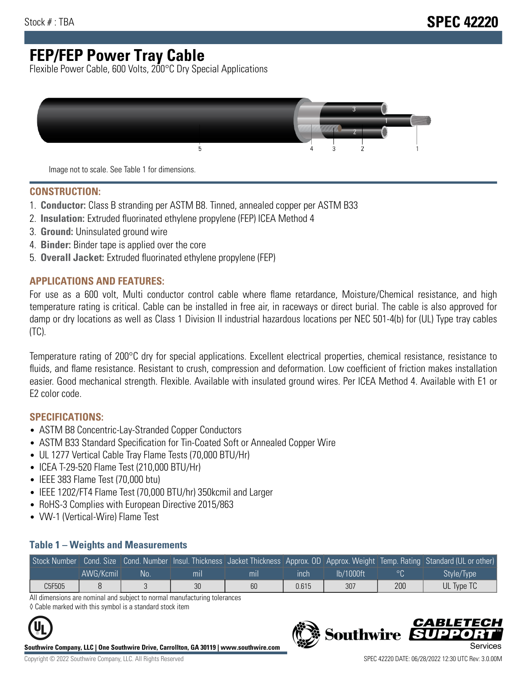# **FEP/FEP Power Tray Cable**

Flexible Power Cable, 600 Volts, 200°C Dry Special Applications



Image not to scale. See Table 1 for dimensions.

#### **CONSTRUCTION:**

- 1. **Conductor:** Class B stranding per ASTM B8. Tinned, annealed copper per ASTM B33
- 2. **Insulation:** Extruded fluorinated ethylene propylene (FEP) ICEA Method 4
- 3. **Ground:** Uninsulated ground wire
- 4. **Binder:** Binder tape is applied over the core
- 5. **Overall Jacket:** Extruded fluorinated ethylene propylene (FEP)

#### **APPLICATIONS AND FEATURES:**

For use as a 600 volt, Multi conductor control cable where flame retardance, Moisture/Chemical resistance, and high temperature rating is critical. Cable can be installed in free air, in raceways or direct burial. The cable is also approved for damp or dry locations as well as Class 1 Division II industrial hazardous locations per NEC 501-4(b) for (UL) Type tray cables (TC).

Temperature rating of 200°C dry for special applications. Excellent electrical properties, chemical resistance, resistance to fluids, and flame resistance. Resistant to crush, compression and deformation. Low coefficient of friction makes installation easier. Good mechanical strength. Flexible. Available with insulated ground wires. Per ICEA Method 4. Available with E1 or E2 color code.

### **SPECIFICATIONS:**

- ASTM B8 Concentric-Lay-Stranded Copper Conductors
- ASTM B33 Standard Specification for Tin-Coated Soft or Annealed Copper Wire
- UL 1277 Vertical Cable Tray Flame Tests (70,000 BTU/Hr)
- ICEA T-29-520 Flame Test (210,000 BTU/Hr)
- IEEE 383 Flame Test (70,000 btu)
- IEEE 1202/FT4 Flame Test (70,000 BTU/hr) 350kcmil and Larger
- RoHS-3 Complies with European Directive 2015/863
- VW-1 (Vertical-Wire) Flame Test

#### **Table 1 – Weights and Measurements**

| Stock Number |           |     |                |                |       |           |     | Cond. Size Cond. Number Insul. Thickness Jacket Thickness Approx. OD Approx. Weight Temp. Rating Standard (UL or other) |
|--------------|-----------|-----|----------------|----------------|-------|-----------|-----|-------------------------------------------------------------------------------------------------------------------------|
|              | AWG/Kcmil | No. | m <sub>l</sub> | m <sub>l</sub> | ınch  | lb/1000ft |     | Style/Type                                                                                                              |
| C5F505       |           |     | 30             | 60             | 0.615 | 307       | 200 | UL Type TC                                                                                                              |

All dimensions are nominal and subject to normal manufacturing tolerances ◊ Cable marked with this symbol is a standard stock item



**Southwire Company, LLC | One Southwire Drive, Carrollton, GA 30119 | www.southwire.com**